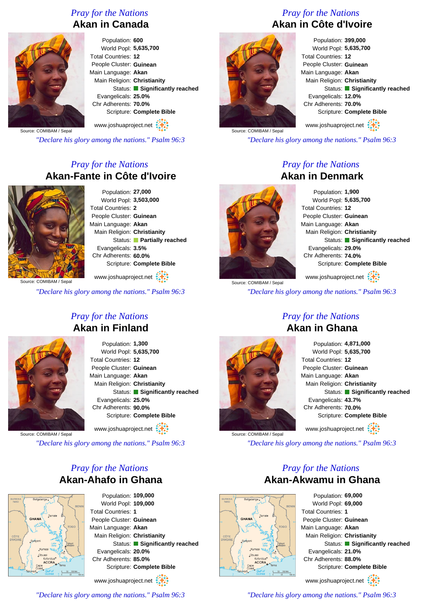## *Pray for the Nations* **Akan in Canada**

Population: **600** World Popl: **5,635,700** Total Countries: **12** People Cluster: **Guinean** Main Language: **Akan** Main Religion: **Christianity** Status: **Significantly reached** Evangelicals: **25.0%** Chr Adherents: **70.0%** Scripture: **Complete Bible**

www.joshuaproject.net

Source: COMIBAM / Sepal

*"Declare his glory among the nations." Psalm 96:3*

# *Pray for the Nations* **Akan-Fante in Côte d'Ivoire**



Population: **27,000** World Popl: **3,503,000** Total Countries: **2** People Cluster: **Guinean** Main Language: **Akan** Main Religion: **Christianity** Status: **Partially reached** Evangelicals: **3.5%** Chr Adherents: **60.0%** Scripture: **Complete Bible**

www.joshuaproject.net

Source: COMIBAM / Sepal

*"Declare his glory among the nations." Psalm 96:3*

## *Pray for the Nations* **Akan in Finland**



Population: **1,300** World Popl: **5,635,700** Total Countries: **12** People Cluster: **Guinean** Main Language: **Akan** Main Religion: **Christianity** Status: **Significantly reached** Evangelicals: **25.0%** Chr Adherents: **90.0%** Scripture: **Complete Bible** www.joshuaproject.net

Source: COMIBAM / Sepal

*"Declare his glory among the nations." Psalm 96:3*

# *Pray for the Nations* **Akan-Ahafo in Ghana**



Population: **109,000** World Popl: **109,000** Total Countries: **1** People Cluster: **Guinean** Main Language: **Akan** Main Religion: **Christianity** Status: **Significantly reached** Evangelicals: **20.0%** Chr Adherents: **85.0%** Scripture: **Complete Bible**

www.joshuaproject.net

*"Declare his glory among the nations." Psalm 96:3*

# *Pray for the Nations* **Akan in Côte d'Ivoire**



Population: **399,000** World Popl: **5,635,700** Total Countries: **12** People Cluster: **Guinean** Main Language: **Akan** Main Religion: **Christianity** Status: **Significantly reached** Evangelicals: **12.0%** Chr Adherents: **70.0%** Scripture: **Complete Bible** www.joshuaproject.net

Source: COMIBAM / Sepal

*"Declare his glory among the nations." Psalm 96:3*

#### *Pray for the Nations* **Akan in Denmark**



Population: **1,900** World Popl: **5,635,700** Total Countries: **12** People Cluster: **Guinean** Main Language: **Akan** Main Religion: **Christianity** Status: **Significantly reached** Evangelicals: **29.0%** Chr Adherents: **74.0%** Scripture: **Complete Bible**

www.joshuaproject.net

*"Declare his glory among the nations." Psalm 96:3*

#### *Pray for the Nations* **Akan in Ghana**



Source: COMIBAM / Sepal

Source: COMIBAM / Sepa

Population: **4,871,000** World Popl: **5,635,700** Total Countries: **12** People Cluster: **Guinean** Main Language: **Akan** Main Religion: **Christianity** Status: **Significantly reached** Evangelicals: **43.7%** Chr Adherents: **70.0%** Scripture: **Complete Bible** www.joshuaproject.net

*"Declare his glory among the nations." Psalm 96:3*

## *Pray for the Nations* **Akan-Akwamu in Ghana**



Population: **69,000** World Popl: **69,000** Total Countries: **1** People Cluster: **Guinean** Main Language: **Akan** Main Religion: **Christianity** Status: **Significantly reached** Evangelicals: **21.0%** Chr Adherents: **88.0%** Scripture: **Complete Bible** www.joshuaproject.net

*"Declare his glory among the nations." Psalm 96:3*

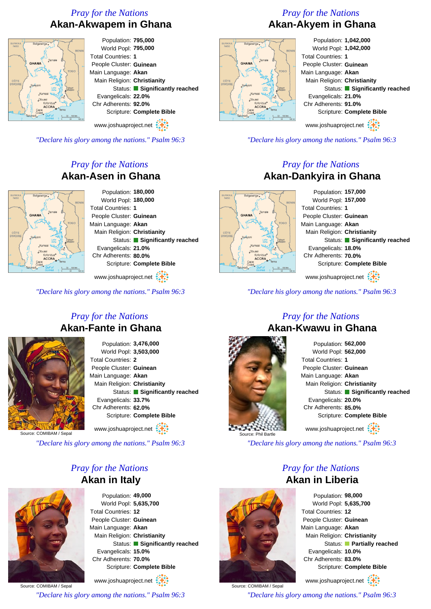## *Pray for the Nations* **Akan-Akwapem in Ghana**



Population: **795,000** World Popl: **795,000** Total Countries: **1** People Cluster: **Guinean** Main Language: **Akan** Main Religion: **Christianity** Status: **Significantly reached** Evangelicals: **22.0%** Chr Adherents: **92.0%** Scripture: **Complete Bible**

www.joshuaproject.net

*"Declare his glory among the nations." Psalm 96:3*

# *Pray for the Nations* **Akan-Asen in Ghana**



Population: **180,000** World Popl: **180,000** Total Countries: **1** People Cluster: **Guinean** Main Language: **Akan** Main Religion: **Christianity** Status: **Significantly reached** Evangelicals: **21.0%** Chr Adherents: **80.0%** Scripture: **Complete Bible**

www.joshuaproject.net

*"Declare his glory among the nations." Psalm 96:3*

### *Pray for the Nations* **Akan-Fante in Ghana**



Population: **3,476,000** World Popl: **3,503,000** Total Countries: **2** People Cluster: **Guinean** Main Language: **Akan** Main Religion: **Christianity** Status: **Significantly reached** Evangelicals: **33.7%** Chr Adherents: **62.0%** Scripture: **Complete Bible**

www.joshuaproject.net

Source: COMIBAM / Sepal

*"Declare his glory among the nations." Psalm 96:3*

### *Pray for the Nations* **Akan in Italy**



Population: **49,000** World Popl: **5,635,700** Total Countries: **12** People Cluster: **Guinean** Main Language: **Akan** Main Religion: **Christianity** Status: **Significantly reached** Evangelicals: **15.0%** Chr Adherents: **70.0%** Scripture: **Complete Bible**

Source: COMIBAM / Sepal www.joshuaproject.net *"Declare his glory among the nations." Psalm 96:3*

# *Pray for the Nations* **Akan-Akyem in Ghana**



Population: **1,042,000** World Popl: **1,042,000** Total Countries: **1** People Cluster: **Guinean** Main Language: **Akan** Main Religion: **Christianity** Status: **Significantly reached** Evangelicals: **21.0%** Chr Adherents: **91.0%** Scripture: **Complete Bible** www.joshuaproject.net

*"Declare his glory among the nations." Psalm 96:3*

### *Pray for the Nations* **Akan-Dankyira in Ghana**

Population: **157,000** World Popl: **157,000** Total Countries: **1** People Cluster: **Guinean** Main Language: **Akan** Main Religion: **Christianity** Status: **Significantly reached** Evangelicals: **18.0%** Chr Adherents: **70.0%** Koforidua<br>**ACCRA** Scripture: **Complete Bible** www.joshuaproject.net

*"Declare his glory among the nations." Psalm 96:3*

#### *Pray for the Nations* **Akan-Kwawu in Ghana**



**GHANA** 

Population: **562,000** World Popl: **562,000** Total Countries: **1** People Cluster: **Guinean** Main Language: **Akan** Main Religion: **Christianity** Status: **Significantly reached** Evangelicals: **20.0%** Chr Adherents: **85.0%** Scripture: **Complete Bible** www.joshuaproject.net

*"Declare his glory among the nations." Psalm 96:3*

### *Pray for the Nations* **Akan in Liberia**



www.joshuaproject.net

*"Declare his glory among the nations." Psalm 96:3*



Source: COMIBAM / Sepal